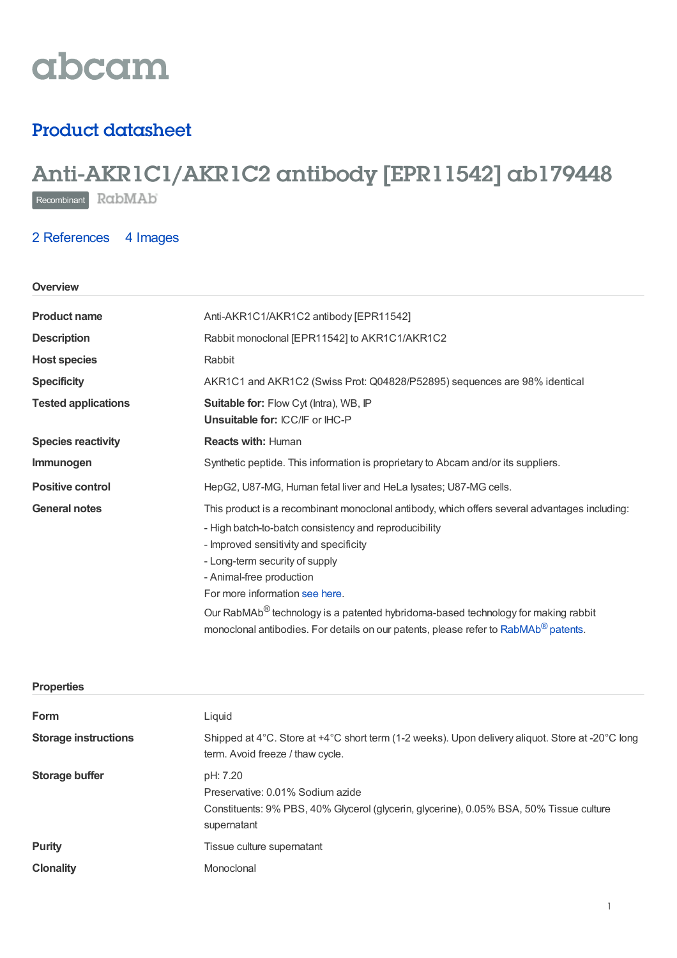# abcam

### Product datasheet

## Anti-AKR1C1/AKR1C2 antibody [EPR11542] ab179448

Recombinant RabMAb

#### 2 [References](https://www.abcam.com/akr1c1akr1c2-antibody-epr11542-ab179448.html#description_references) 4 Images

#### **Overview**

| <b>Product name</b>        | Anti-AKR1C1/AKR1C2 antibody [EPR11542]                                                                                                                                                                                                                                                                                                                                                                                                                                                               |  |
|----------------------------|------------------------------------------------------------------------------------------------------------------------------------------------------------------------------------------------------------------------------------------------------------------------------------------------------------------------------------------------------------------------------------------------------------------------------------------------------------------------------------------------------|--|
| <b>Description</b>         | Rabbit monoclonal [EPR11542] to AKR1C1/AKR1C2                                                                                                                                                                                                                                                                                                                                                                                                                                                        |  |
| <b>Host species</b>        | Rabbit                                                                                                                                                                                                                                                                                                                                                                                                                                                                                               |  |
| <b>Specificity</b>         | AKR1C1 and AKR1C2 (Swiss Prot: Q04828/P52895) sequences are 98% identical                                                                                                                                                                                                                                                                                                                                                                                                                            |  |
| <b>Tested applications</b> | Suitable for: Flow Cyt (Intra), WB, IP<br>Unsuitable for: ICC/IF or IHC-P                                                                                                                                                                                                                                                                                                                                                                                                                            |  |
| <b>Species reactivity</b>  | <b>Reacts with: Human</b>                                                                                                                                                                                                                                                                                                                                                                                                                                                                            |  |
| Immunogen                  | Synthetic peptide. This information is proprietary to Abcam and/or its suppliers.                                                                                                                                                                                                                                                                                                                                                                                                                    |  |
| <b>Positive control</b>    | HepG2, U87-MG, Human fetal liver and HeLa lysates; U87-MG cells.                                                                                                                                                                                                                                                                                                                                                                                                                                     |  |
| <b>General notes</b>       | This product is a recombinant monoclonal antibody, which offers several advantages including:<br>- High batch-to-batch consistency and reproducibility<br>- Improved sensitivity and specificity<br>- Long-term security of supply<br>- Animal-free production<br>For more information see here.<br>Our RabMAb <sup>®</sup> technology is a patented hybridoma-based technology for making rabbit<br>monoclonal antibodies. For details on our patents, please refer to RabMAb <sup>®</sup> patents. |  |

| <b>Properties</b>           |                                                                                                                                                        |
|-----------------------------|--------------------------------------------------------------------------------------------------------------------------------------------------------|
| Form                        | Liquid                                                                                                                                                 |
| <b>Storage instructions</b> | Shipped at 4°C. Store at +4°C short term (1-2 weeks). Upon delivery aliquot. Store at -20°C long<br>term. Avoid freeze / thaw cycle.                   |
| <b>Storage buffer</b>       | pH: 7.20<br>Preservative: 0.01% Sodium azide<br>Constituents: 9% PBS, 40% Glycerol (glycerin, glycerine), 0.05% BSA, 50% Tissue culture<br>supernatant |
| <b>Purity</b>               | Tissue culture supernatant                                                                                                                             |
| <b>Clonality</b>            | Monoclonal                                                                                                                                             |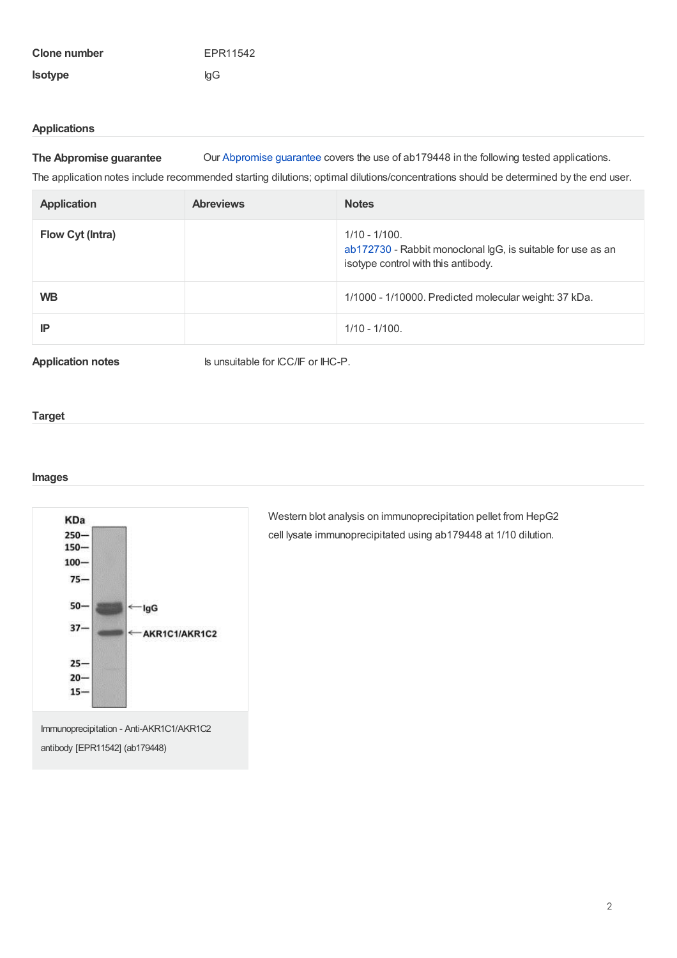| <b>Clone number</b> | EPR11542 |
|---------------------|----------|
| <b>Isotype</b>      | lgG      |

#### **Applications**

**The Abpromise guarantee** Our [Abpromise](https://www.abcam.com/abpromise) guarantee covers the use of ab179448 in the following tested applications.

The application notes include recommended starting dilutions; optimal dilutions/concentrations should be determined by the end user.

| <b>Application</b> | <b>Abreviews</b> | <b>Notes</b>                                                                                                           |
|--------------------|------------------|------------------------------------------------------------------------------------------------------------------------|
| Flow Cyt (Intra)   |                  | $1/10 - 1/100$ .<br>ab172730 - Rabbit monoclonal IgG, is suitable for use as an<br>isotype control with this antibody. |
| <b>WB</b>          |                  | 1/1000 - 1/10000. Predicted molecular weight: 37 kDa.                                                                  |
| IP                 |                  | $1/10 - 1/100$ .                                                                                                       |

**Application notes** Is unsuitable for ICC/IF or IHC-P.

#### **Target**

#### **Images**



cell lysate immunoprecipitated using ab179448 at 1/10 dilution.

Western blot analysis on immunoprecipitation pellet from HepG2

Immunoprecipitation - Anti-AKR1C1/AKR1C2 antibody [EPR11542] (ab179448)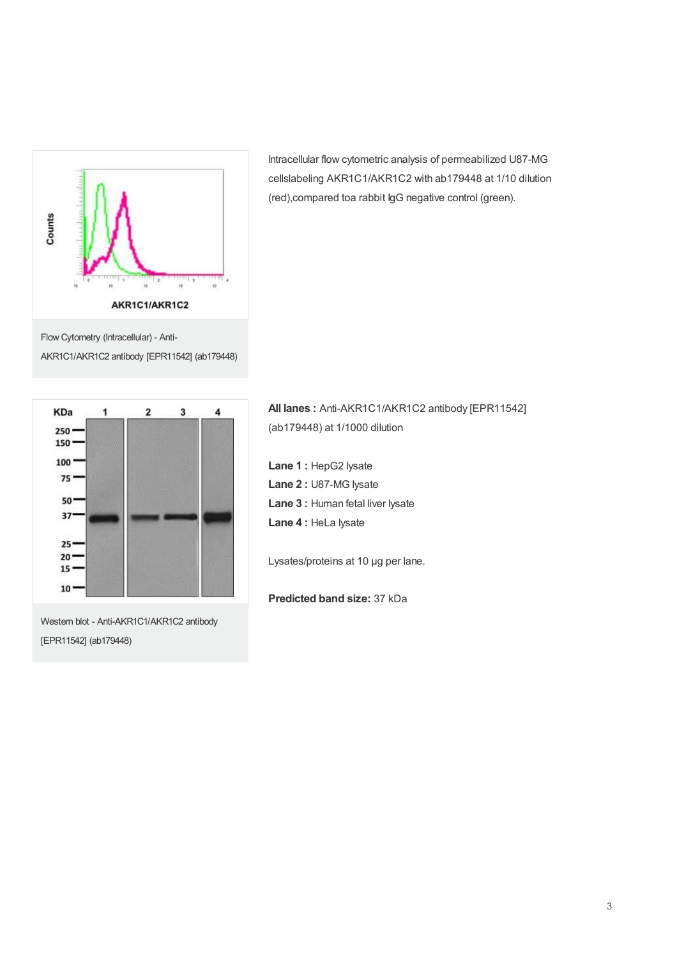

Flow Cytometry (Intracellular) - Anti-AKR1C1/AKR1C2 antibody [EPR11542] (ab179448)



Western blot - Anti-AKR1C1/AKR1C2 antibody [EPR11542] (ab179448)

Intracellular flow cytometric analysis of permeabilized U87-MG cellslabeling AKR1C1/AKR1C2 with ab179448 at 1/10 dilution (red),compared toa rabbit IgG negative control (green).

**All lanes :** Anti-AKR1C1/AKR1C2 antibody [EPR11542] (ab179448) at 1/1000 dilution

**Lane 1 :** HepG2 lysate **Lane 2 :** U87-MG lysate **Lane 3 :** Human fetal liver lysate **Lane 4 :** HeLa lysate

Lysates/proteins at 10 µg per lane.

**Predicted band size:** 37 kDa